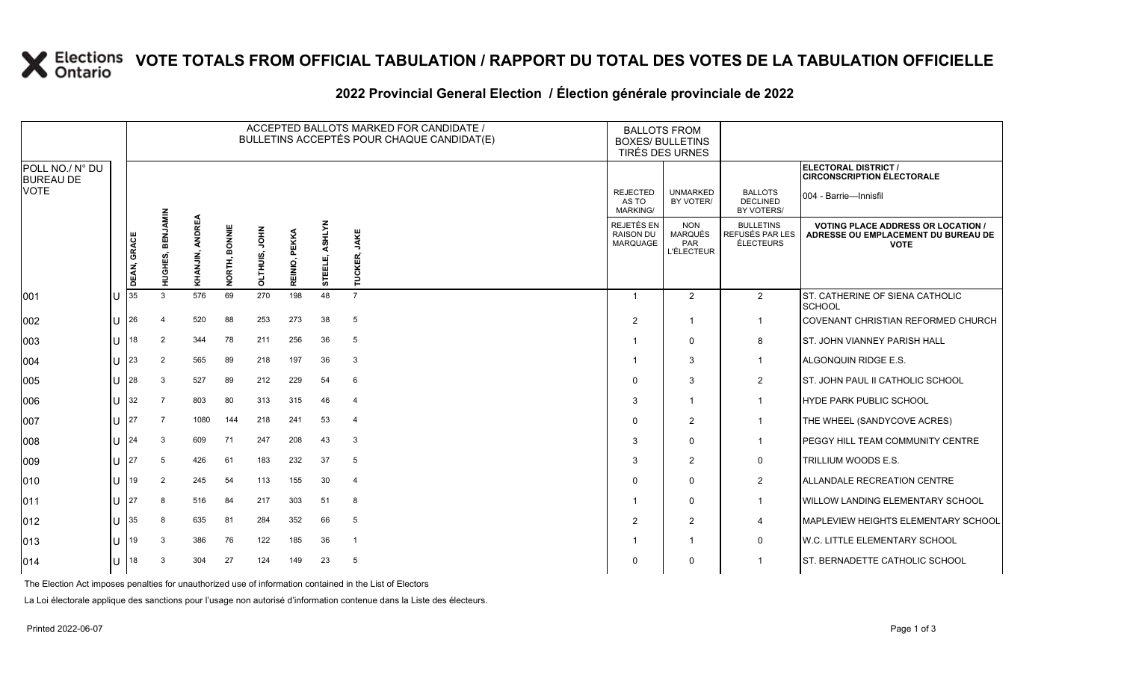### **VOTE TOTALS FROM OFFICIAL TABULATION / RAPPORT DU TOTAL DES VOTES DE LA TABULATION OFFICIELLE**

#### 2022 Provincial General Election / Election générale provinciale de 2022

|                                     |     | ACCEPTED BALLOTS MARKED FOR CANDIDATE /<br>BULLETINS ACCEPTÉS POUR CHAQUE CANDIDAT(E) |                  |                 |                  |                         |                  |                   |                | <b>BALLOTS FROM</b><br><b>BOXES/ BULLETINS</b><br>TIRÉS DES URNES |                                                                 |                                                  |                                                                                                 |
|-------------------------------------|-----|---------------------------------------------------------------------------------------|------------------|-----------------|------------------|-------------------------|------------------|-------------------|----------------|-------------------------------------------------------------------|-----------------------------------------------------------------|--------------------------------------------------|-------------------------------------------------------------------------------------------------|
| POLL NO./ N° DU<br><b>BUREAU DE</b> |     |                                                                                       |                  |                 |                  |                         |                  |                   |                |                                                                   |                                                                 |                                                  | ELECTORAL DISTRICT /<br><b>CIRCONSCRIPTION ÉLECTORALE</b>                                       |
| <b>VOTE</b>                         |     |                                                                                       |                  |                 |                  |                         |                  |                   |                | <b>REJECTED</b><br>AS TO<br><b>MARKING/</b>                       | <b>UNMARKED</b><br>BY VOTER/                                    | <b>BALLOTS</b><br>DECLINED<br>BY VOTERS/         | 004 - Barrie—Innisfil                                                                           |
|                                     |     | DEAN, GRACE                                                                           | HUGHES, BENJAMIN | KHANJIN, ANDREA | BONNIE<br>NORTH, | <b>NHOL</b><br>OLTHUIS, | PEKKA<br>REINIO, | ASHLYN<br>STEELE, | TUCKER, JAKE   | REJETÉS EN<br><b>RAISON DU</b><br><b>MARQUAGE</b>                 | <b>NON</b><br><b>MARQUÉS</b><br><b>PAR</b><br><b>L'ÉLECTEUR</b> | <b>BULLETINS</b><br>REFUSÉS PAR LES<br>ÉLECTEURS | <b>VOTING PLACE ADDRESS OR LOCATION /</b><br>ADRESSE OU EMPLACEMENT DU BUREAU DE<br><b>VOTE</b> |
| 001                                 | lU  | 35                                                                                    | 3                | 576             | 69               | 270                     | 198              | 48                | $\overline{7}$ |                                                                   | $\overline{2}$                                                  | $\overline{2}$                                   | ST. CATHERINE OF SIENA CATHOLIC<br>SCHOOL                                                       |
| 002                                 | ΙU  | 26                                                                                    |                  | 520             | 88               | 253                     | 273              | 38                | 5              | $\overline{2}$                                                    | -1                                                              | $\mathbf 1$                                      | COVENANT CHRISTIAN REFORMED CHURCH                                                              |
| 003                                 | U   | 18                                                                                    | $\overline{2}$   | 344             | 78               | 211                     | 256              | 36                | 5              |                                                                   | $\Omega$                                                        | 8                                                | <b>ST. JOHN VIANNEY PARISH HALL</b>                                                             |
| 004                                 | ΙU  | 23                                                                                    | $\overline{2}$   | 565             | 89               | 218                     | 197              | 36                | -3             |                                                                   | 3                                                               | $\overline{1}$                                   | ALGONQUIN RIDGE E.S.                                                                            |
| 005                                 | lu- | 28                                                                                    | 3                | 527             | 89               | 212                     | 229              | 54                | 6              | $\mathbf 0$                                                       | 3                                                               | $\overline{2}$                                   | ST. JOHN PAUL II CATHOLIC SCHOOL                                                                |
| 006                                 | ΙU  | 32                                                                                    |                  | 803             | 80               | 313                     | 315              | 46                | $\overline{4}$ | 3                                                                 | -1                                                              | $\overline{1}$                                   | <b>HYDE PARK PUBLIC SCHOOL</b>                                                                  |
| 007                                 | lu  | 27                                                                                    | 7                | 1080            | 144              | 218                     | 241              | 53                | $\overline{4}$ | $\mathbf 0$                                                       | $\overline{2}$                                                  | $\overline{1}$                                   | THE WHEEL (SANDYCOVE ACRES)                                                                     |
| 008                                 | lu  | 24                                                                                    | 3                | 609             | 71               | 247                     | 208              | 43                | -3             | 3                                                                 | $\Omega$                                                        |                                                  | PEGGY HILL TEAM COMMUNITY CENTRE                                                                |
| $ 009\rangle$                       | lθ  | 27                                                                                    | 5                | 426             | 61               | 183                     | 232              | 37                | 5              | 3                                                                 | $\overline{2}$                                                  | $\mathbf 0$                                      | <b>TRILLIUM WOODS E.S.</b>                                                                      |
| 010                                 | lu  | 19                                                                                    | $\overline{2}$   | 245             | 54               | 113                     | 155              | 30                | $\overline{4}$ | $\Omega$                                                          | $\mathbf{0}$                                                    | $\overline{2}$                                   | ALLANDALE RECREATION CENTRE                                                                     |
| $ 011\rangle$                       | ΙU  | 27                                                                                    | 8                | 516             | 84               | 217                     | 303              | 51                | 8              |                                                                   | $\Omega$                                                        | $\mathbf 1$                                      | WILLOW LANDING ELEMENTARY SCHOOL                                                                |
| $ 012\rangle$                       | Ш   | 35                                                                                    |                  | 635             | 81               | 284                     | 352              | 66                | 5              | 2                                                                 | $\overline{2}$                                                  | $\overline{4}$                                   | <b>MAPLEVIEW HEIGHTS ELEMENTARY SCHOOL</b>                                                      |
| $ 013\rangle$                       | lu  | 19                                                                                    | 3                | 386             | 76               | 122                     | 185              | 36                | $\overline{1}$ |                                                                   | -1                                                              | $\mathbf 0$                                      | W.C. LITTLE ELEMENTARY SCHOOL                                                                   |
| $ 014\rangle$                       | lU  | 18                                                                                    | 3                | 304             | 27               | 124                     | 149              | 23                | 5              | $\Omega$                                                          | 0                                                               |                                                  | ST. BERNADETTE CATHOLIC SCHOOL                                                                  |

The Election Act imposes penalties for unauthorized use of information contained in the List of Electors

La Loi électorale applique des sanctions pour l'usage non autorisé d'information contenue dans la Liste des électeurs.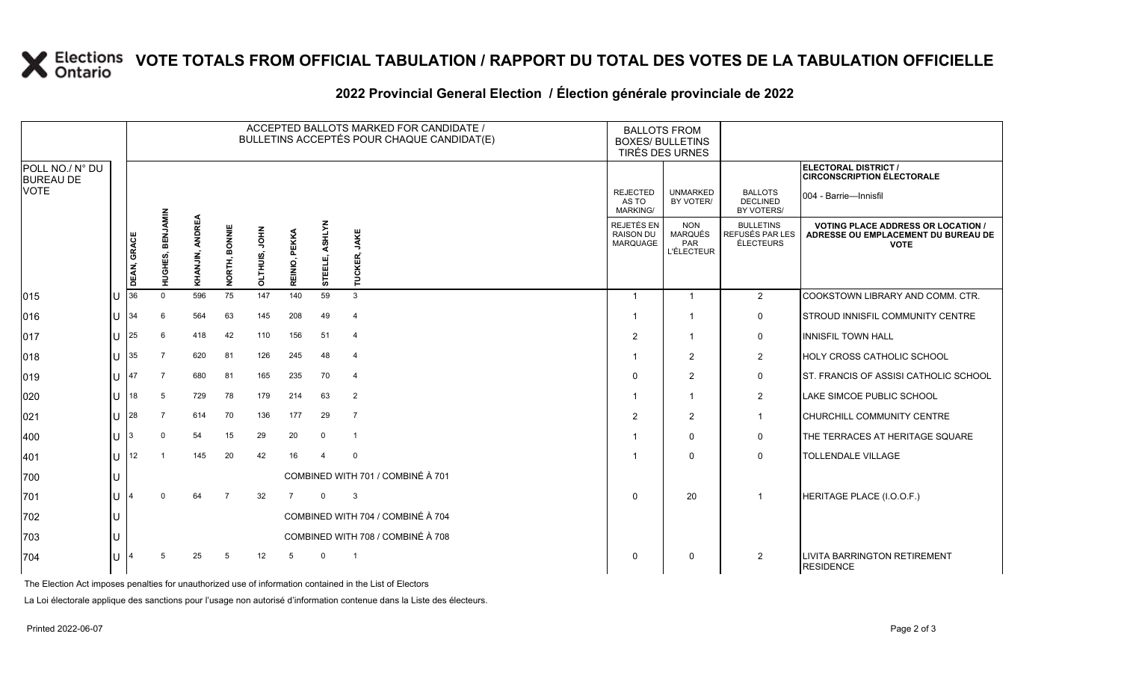# **X** Elections VOTE TOTALS FROM OFFICIAL TABULATION / RAPPORT DU TOTAL DES VOTES DE LA TABULATION OFFICIELLE

### **2022 Provincial General Election / Élection générale provinciale de 2022**

|                                     |     | ACCEPTED BALLOTS MARKED FOR CANDIDATE /<br>BULLETINS ACCEPTÉS POUR CHAQUE CANDIDAT(E) |                         |                 |                |               |                |                          |                                   |  | <b>BALLOTS FROM</b><br><b>BOXES/ BULLETINS</b><br>TIRÉS DES URNES |                                                                 |                                                  |                                                                                                 |
|-------------------------------------|-----|---------------------------------------------------------------------------------------|-------------------------|-----------------|----------------|---------------|----------------|--------------------------|-----------------------------------|--|-------------------------------------------------------------------|-----------------------------------------------------------------|--------------------------------------------------|-------------------------------------------------------------------------------------------------|
| POLL NO./ N° DU<br><b>BUREAU DE</b> |     |                                                                                       |                         |                 |                |               |                |                          |                                   |  |                                                                   |                                                                 |                                                  | ELECTORAL DISTRICT /<br><b>CIRCONSCRIPTION ÉLECTORALE</b>                                       |
| <b>VOTE</b>                         |     |                                                                                       |                         |                 |                |               |                |                          |                                   |  | <b>REJECTED</b><br>AS TO<br><b>MARKING/</b>                       | <b>UNMARKED</b><br>BY VOTER/                                    | <b>BALLOTS</b><br><b>DECLINED</b><br>BY VOTERS/  | 004 - Barrie—Innisfil                                                                           |
|                                     |     | DEAN, GRACE                                                                           | <b>HUGHES, BENJAMIN</b> | KHANJIN, ANDREA | NORTH, BONNIE  | OLTHUIS, JOHN | REINIO, PEKKA  | <b>ASHLYN</b><br>STEELE, | JAKE<br>TUCKER,                   |  | REJETÉS EN<br><b>RAISON DU</b><br><b>MARQUAGE</b>                 | <b>NON</b><br><b>MARQUÉS</b><br><b>PAR</b><br><b>L'ÉLECTEUR</b> | <b>BULLETINS</b><br>REFUSÉS PAR LES<br>ÉLECTEURS | <b>VOTING PLACE ADDRESS OR LOCATION /</b><br>ADRESSE OU EMPLACEMENT DU BUREAU DE<br><b>VOTE</b> |
| $ 015\rangle$                       | lU. | 36                                                                                    | $\Omega$                | 596             | 75             | 147           | 140            | 59                       | 3                                 |  | $\overline{1}$                                                    | $\overline{1}$                                                  | 2                                                | COOKSTOWN LIBRARY AND COMM. CTR.                                                                |
| 016                                 | ΙU  | 34                                                                                    | 6                       | 564             | 63             | 145           | 208            | 49                       | $\overline{4}$                    |  | $\overline{\mathbf{1}}$                                           | -1                                                              | $\mathsf{O}$                                     | STROUD INNISFIL COMMUNITY CENTRE                                                                |
| $ 017\rangle$                       | lU  | 25                                                                                    | 6                       | 418             | 42             | 110           | 156            | 51                       | $\overline{4}$                    |  | 2                                                                 | -1                                                              | $\mathbf 0$                                      | <b>INNISFIL TOWN HALL</b>                                                                       |
| 018                                 | lu- | $\begin{array}{c} 35 \end{array}$                                                     | 7                       | 620             | 81             | 126           | 245            | 48                       | $\overline{4}$                    |  |                                                                   | $\overline{2}$                                                  | 2                                                | HOLY CROSS CATHOLIC SCHOOL                                                                      |
| $ 019\rangle$                       | lu  | 47                                                                                    |                         | 680             | 81             | 165           | 235            | 70                       | $\overline{4}$                    |  | $\Omega$                                                          | $\overline{2}$                                                  | $\mathbf 0$                                      | ST. FRANCIS OF ASSISI CATHOLIC SCHOOL                                                           |
| $ 020\rangle$                       | lu  | 18                                                                                    | 5                       | 729             | 78             | 179           | 214            | 63                       | $\overline{2}$                    |  |                                                                   | $\overline{1}$                                                  | $\overline{2}$                                   | LAKE SIMCOE PUBLIC SCHOOL                                                                       |
| 021                                 | Iυ  | 28                                                                                    |                         | 614             | 70             | 136           | 177            | 29                       | $\overline{7}$                    |  | $\overline{2}$                                                    | $\overline{2}$                                                  | $\mathbf 1$                                      | CHURCHILL COMMUNITY CENTRE                                                                      |
| 400                                 | lu  | 3                                                                                     | $\Omega$                | 54              | 15             | 29            | 20             | $\mathbf 0$              | $\overline{1}$                    |  | $\overline{\mathbf{1}}$                                           | $\mathbf{0}$                                                    | $\mathsf{O}$                                     | THE TERRACES AT HERITAGE SQUARE                                                                 |
| 401                                 | lu  | 12                                                                                    |                         | 145             | 20             | 42            | 16             | $\overline{4}$           | $\mathbf 0$                       |  |                                                                   | $\Omega$                                                        | $\mathbf 0$                                      | <b>TOLLENDALE VILLAGE</b>                                                                       |
| 700                                 | lU  | COMBINED WITH 701 / COMBINÉ À 701                                                     |                         |                 |                |               |                |                          |                                   |  |                                                                   |                                                                 |                                                  |                                                                                                 |
| 701                                 | lu  | $\overline{4}$                                                                        |                         | 64              | $\overline{7}$ | 32            | $\overline{7}$ | $\mathbf 0$              | 3                                 |  | $\Omega$                                                          | 20                                                              |                                                  | HERITAGE PLACE (I.O.O.F.)                                                                       |
| 702                                 | lU  |                                                                                       |                         |                 |                |               |                |                          | COMBINED WITH 704 / COMBINÉ À 704 |  |                                                                   |                                                                 |                                                  |                                                                                                 |
| 703                                 |     |                                                                                       |                         |                 |                |               |                |                          | COMBINED WITH 708 / COMBINÉ À 708 |  |                                                                   |                                                                 |                                                  |                                                                                                 |
| 704                                 | lθ  |                                                                                       |                         | 25              | -5             | 12            |                | $\Omega$                 |                                   |  | $\mathbf 0$                                                       | 0                                                               | $\overline{2}$                                   | <b>LIVITA BARRINGTON RETIREMENT</b><br><b>RESIDENCE</b>                                         |

The Election Act imposes penalties for unauthorized use of information contained in the List of Electors

La Loi électorale applique des sanctions pour l'usage non autorisé d'information contenue dans la Liste des électeurs.